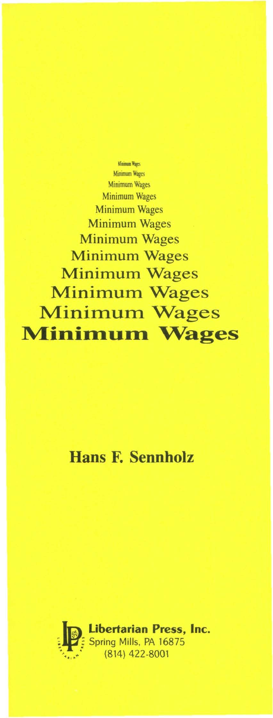

## **Hans F. Sennholz**

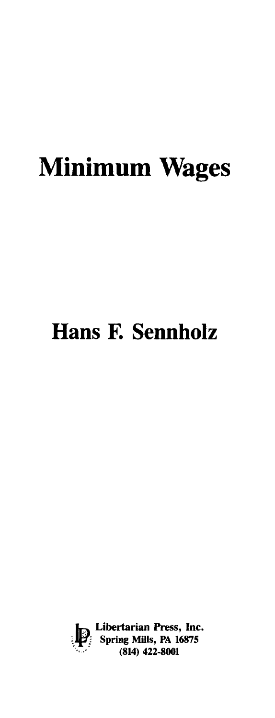# **Minimum Wages**

# **Hans F. Sennholz**

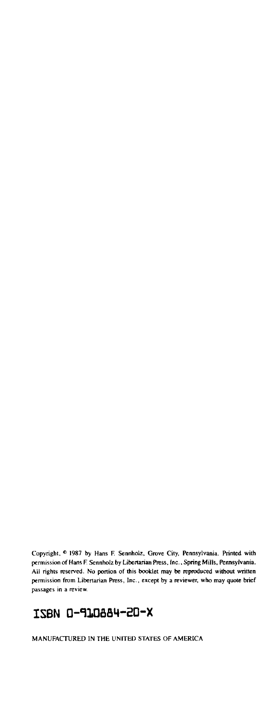Copyright, <sup>c</sup> 1987 by Hans F. Sennholz, Grove City, Pennsylvania. Printed with permission of Hans F Sennholz by Libertarian Press, Inc., Spring Mills, Pennsylvania. All rights reserved. No portion of this booklet may be reproduced without written permission from Libertarian Press, Inc., except by a reviewer, who may quote brief passages in a review.

#### ISBN 0-910884-20-X

MANUFACTURED IN THE UNITED STATES OF AMERICA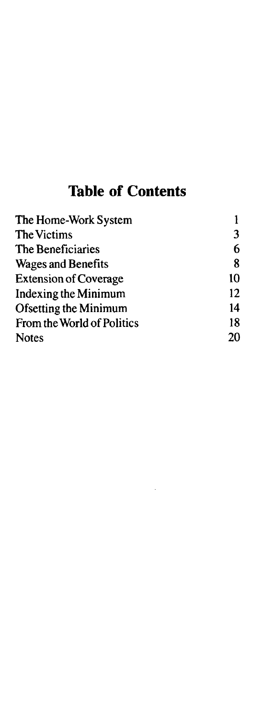# **Table of Contents**

| The Home-Work System         |    |
|------------------------------|----|
| The Victims                  | 3  |
| The Beneficiaries            | 6  |
| <b>Wages and Benefits</b>    | 8  |
| <b>Extension of Coverage</b> | 10 |
| Indexing the Minimum         | 12 |
| <b>Ofsetting the Minimum</b> | 14 |
| From the World of Politics   | 18 |
| <b>Notes</b>                 | 20 |

 $\mathcal{A}^{\mathcal{A}}$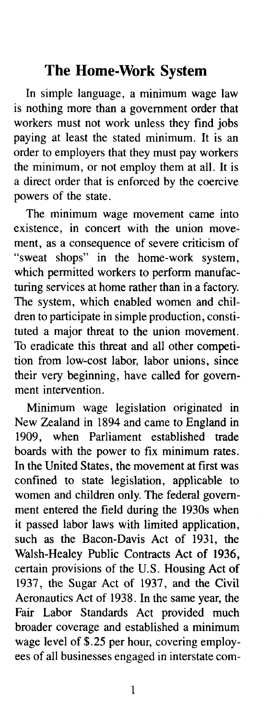# **The Home-Work System**

In simple language, a minimum wage law is nothing more than a government order that workers must not work unless they find jobs paying at least the stated minimum. It is an order to employers that they must pay workers the minimum, or not employ them at all. It is a direct order that is enforced by the coercive powers of the state.

The minimum wage movement came into existence, in concert with the union movement, as a consequence of severe criticism of "sweat shops" in the home-work system, which permitted workers to perform manufacturing services at home rather than in a factory. The system, which enabled women and children to participate in simple production, constituted a major threat to the union movement. To eradicate this threat and all other competition from low-cost labor, labor unions, since their very beginning, have called for government intervention.

Minimum wage legislation originated in New Zealand in 1894 and came to England in 1909, when Parliament established trade boards with the power to fix minimum rates. In the United States, the movement at first was confined to state legislation, applicable to women and children only. The federal government entered the field during the 1930s when it passed labor laws with limited application, such as the Bacon-Davis Act of 1931, the Walsh-Healey Public Contracts Act of 1936, certain provisions of the U.S. Housing Act of 1937, the Sugar Act of 1937, and the Civil Aeronautics Act of 1938. In the same year, the Fair Labor Standards Act provided much broader coverage and established a minimum wage level of \$.25 per hour, covering employees of all businesses engaged in interstate com-

 $\mathbf{1}$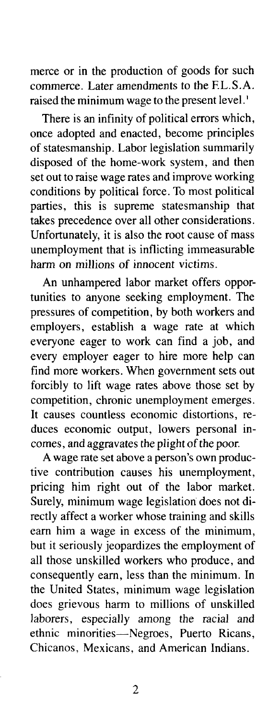merce or in the production of goods for such commerce. Later amendments to the F.L.S.A. raised the minimum wage to the present level.<sup>1</sup>

There is an infinity of political errors which, once adopted and enacted, become principles of statesmanship. Labor legislation summarily disposed of the home-work system, and then set out to raise wage rates and improve working conditions by political force. To most political parties, this is supreme statesmanship that takes precedence over all other considerations. Unfortunately, it is also the root cause of mass unemployment that is inflicting immeasurable harm on millions of innocent victims.

An unhampered labor market offers opportunities to anyone seeking employment. The pressures of competition, by both workers and employers, establish a wage rate at which everyone eager to work can find a job, and every employer eager to hire more help can find more workers. When government sets out forcibly to lift wage rates above those set by competition, chronic unemployment emerges. It causes countless economic distortions, reduces economic output, lowers personal incomes, and aggravates the plight of the poor.

A wage rate set above a person's own productive contribution causes his unemployment, pricing him right out of the labor market. Surely, minimum wage legislation does not directly affect a worker whose training and skills earn him a wage in excess of the minimum, but it seriously jeopardizes the employment of all those unskilled workers who produce, and consequently earn, less than the minimum. In the United States, minimum wage legislation does grievous harm to millions of unskilled laborers, especially among the racial and ethnic minorities—Negroes, Puerto Ricans, Chicanos, Mexicans, and American Indians.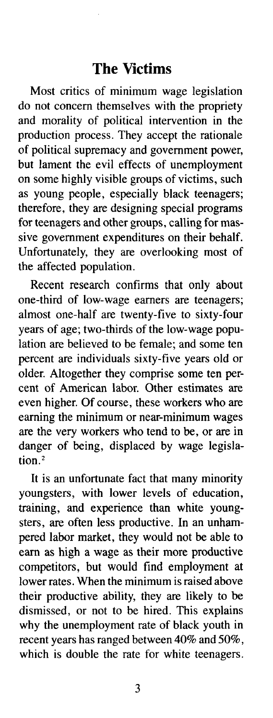Most critics of minimum wage legislation do not concern themselves with the propriety and morality of political intervention in the production process. They accept the rationale of political supremacy and government power, but lament the evil effects of unemployment on some highly visible groups of victims, such as young people, especially black teenagers; therefore, they are designing special programs for teenagers and other groups, calling for massive government expenditures on their behalf. Unfortunately, they are overlooking most of the affected population.

Recent research confirms that only about one-third of low-wage earners are teenagers; almost one-half are twenty-five to sixty-four years of age; two-thirds of the low-wage population are believed to be female; and some ten percent are individuals sixty-five years old or older. Altogether they comprise some ten percent of American labor. Other estimates are even higher. Of course, these workers who are earning the minimum or near-minimum wages are the very workers who tend to be, or are in danger of being, displaced by wage legislation. 2

It is an unfortunate fact that many minority youngsters, with lower levels of education, training, and experience than white youngsters, are often less productive. In an unhampered labor market, they would not be able to earn as high a wage as their more productive competitors, but would find employment at lower rates. When the minimum is raised above their productive ability, they are likely to be dismissed, or not to be hired. This explains why the unemployment rate of black youth in recent years has ranged between 40% and 50%, which is double the rate for white teenagers.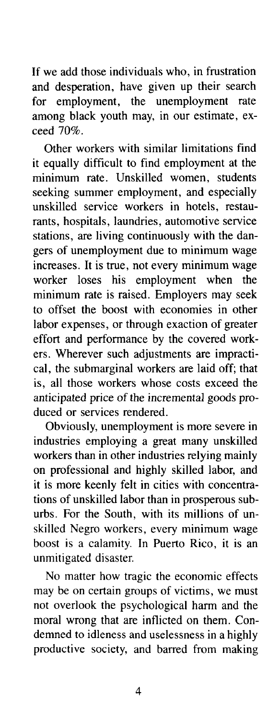If we add those individuals who, in frustration and desperation, have given up their search for employment, the unemployment rate among black youth may, in our estimate, exceed 70%.

Other workers with similar limitations find it equally difficult to find employment at the minimum rate. Unskilled women, students seeking summer employment, and especially unskilled service workers in hotels, restaurants, hospitals, laundries, automotive service stations, are living continuously with the dangers of unemployment due to minimum wage increases. It is true, not every minimum wage worker loses his employment when the minimum rate is raised. Employers may seek to offset the boost with economies in other labor expenses, or through exaction of greater effort and performance by the covered workers. Wherever such adjustments are impractical, the submarginal workers are laid off; that is, all those workers whose costs exceed the anticipated price of the incremental goods produced or services rendered.

Obviously, unemployment is more severe in industries employing a great many unskilled workers than in other industries relying mainly on professional and highly skilled labor, and it is more keenly felt in cities with concentrations of unskilled labor than in prosperous suburbs. For the South, with its millions of unskilled Negro workers, every minimum wage boost is a calamity. In Puerto Rico, it is an unmitigated disaster.

No matter how tragic the economic effects may be on certain groups of victims, we must not overlook the psychological harm and the moral wrong that are inflicted on them. Condemned to idleness and uselessness in a highly productive society, and barred from making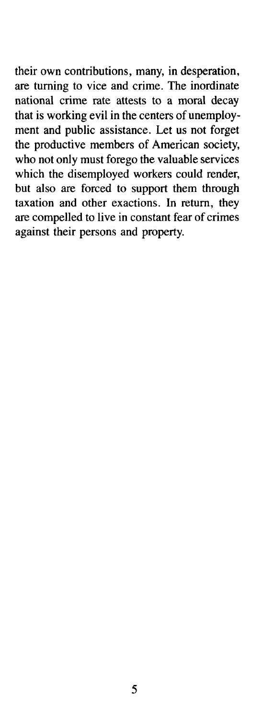their own contributions, many, in desperation, are turning to vice and crime. The inordinate national crime rate attests to a moral decay that is working evil in the centers of unemployment and public assistance. Let us not forget the productive members of American society, who not only must forego the valuable services which the disemployed workers could render, but also are forced to support them through taxation and other exactions. In return, they are compelled to live in constant fear of crimes against their persons and property.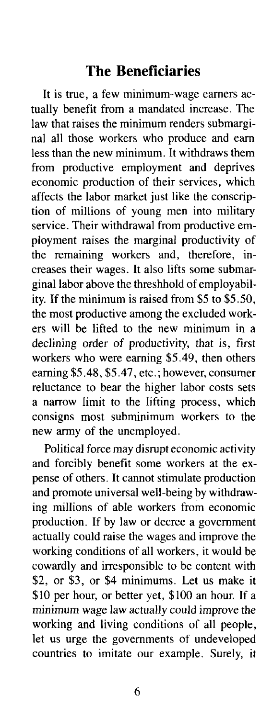# **The Beneficiaries**

It is true, a few minimum-wage earners actually benefit from a mandated increase. The law that raises the minimum renders submarginal all those workers who produce and earn less than the new minimum. It withdraws them from productive employment and deprives economic production of their services, which affects the labor market just like the conscription of millions of young men into military service. Their withdrawal from productive employment raises the marginal productivity of the remaining workers and, therefore, increases their wages. It also lifts some submarginal labor above the threshhold of employability. If the minimum is raised from \$5 to \$5.50, the most productive among the excluded workers will be lifted to the new minimum in a declining order of productivity, that is, first workers who were earning \$5.49, then others earning  $$5.48, $5.47, etc.$ ; however, consumer reluctance to bear the higher labor costs sets a narrow limit to the lifting process, which consigns most subminimum workers to the new army of the unemployed.

Political force may disrupt economic activity and forcibly benefit some workers at the expense of others. It cannot stimulate production and promote universal well-being by withdrawing millions of able workers from economic production. If by law or decree a government actually could raise the wages and improve the working conditions of all workers, it would be cowardly and irresponsible to be content with \$2, or \$3, or \$4 minimums. Let us make it \$10 per hour, or better yet, \$100 an hour. If a minimum wage law actually could improve the working and living conditions of all people, let us urge the governments of undeveloped countries to imitate our example. Surely, it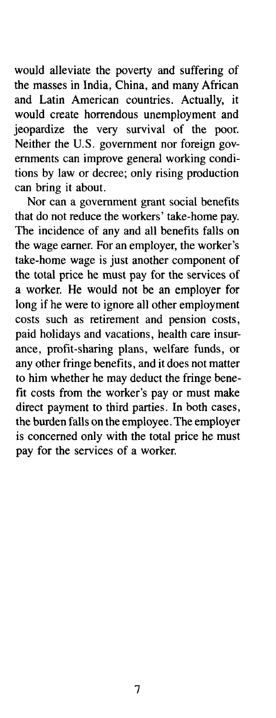would alleviate the poverty and suffering of the masses in India, China, and many African and Latin American countries. Actually, it would create horrendous unemployment and jeopardize the very survival of the poor. Neither the U.S. government nor foreign governments can improve general working conditions by law or decree; only rising production can bring it about.

Nor can a government grant social benefits that do not reduce the workers' take-home pay. The incidence of any and all benefits falls on the wage earner. For an employer, the worker's take-home wage is just another component of the total price he must pay for the services of a worker. He would not be an employer for long if he were to ignore all other employment costs such as retirement and pension costs, paid holidays and vacations, health care insurance, profit-sharing plans, welfare funds, or any other fringe benefits, and it does not matter to him whether he may deduct the fringe benefit costs from the worker's pay or must make direct payment to third parties. In both cases, the burden falls on the employee. The employer is concerned only with the total price he must pay for the services of a worker.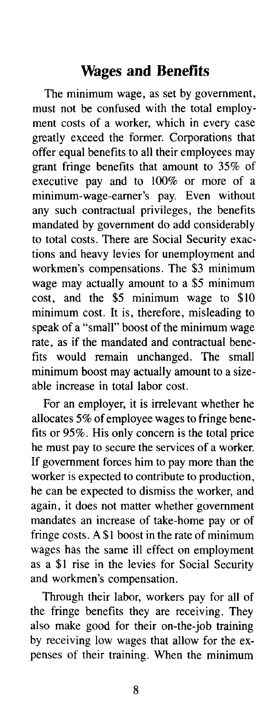# **Wages and Benefits**

The minimum wage, as set by government, must not be confused with the total employment costs of a worker, which in every case greatly exceed the former. Corporations that offer equal benefits to all their employees may grant fringe benefits that amount to 35% of executive pay and to 100% or more of a minimum-wage-earner's pay. Even without any such contractual privileges, the benefits mandated by government do add considerably to total costs. There are Social Security exactions and heavy levies for unemployment and workmen's compensations. The \$3 minimum wage may actually amount to a \$5 minimum cost, and the \$5 minimum wage to \$10 minimum cost. It is, therefore, misleading to speak of a "small" boost of the minimum wage rate, as if the mandated and contractual benefits would remain unchanged. The small minimum boost may actually amount to a sizeable increase in total labor cost.

For an employer, it is irrelevant whether he allocates 5% of employee wages to fringe benefits or 95%. His only concern is the total price he must pay to secure the services of a worker. If government forces him to pay more than the worker is expected to contribute to production, he can be expected to dismiss the worker, and again, it does not matter whether government mandates an increase of take-home pay or of fringe costs. A \$1 boost in the rate of minimum wages has the same ill effect on employment as a \$1 rise in the levies for Social Security and workmen's compensation.

Through their labor, workers pay for all of the fringe benefits they are receiving. They also make good for their on-the-job training by receiving low wages that allow for the expenses of their training. When the minimum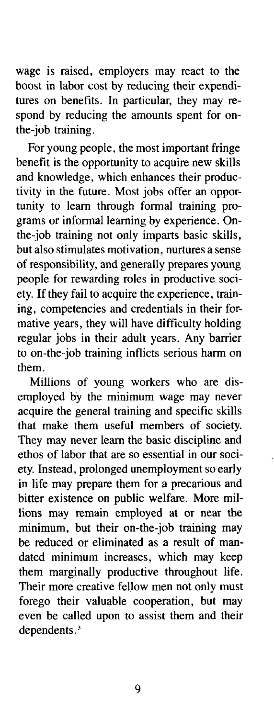wage is raised, employers may react to the boost in labor cost by reducing their expenditures on benefits. In particular, they may respond by reducing the amounts spent for onthe-job training.

For young people, the most important fringe benefit is the opportunity to acquire new skills and knowledge, which enhances their productivity in the future. Most jobs offer an opportunity to learn through formal training programs or informal learning by experience. Onthe-job training not only imparts basic skills, but also stimulates motivation, nurtures a sense of responsibility, and generally prepares young people for rewarding roles in productive society. If they fail to acquire the experience, training, competencies and credentials in their formative years, they will have difficulty holding regular jobs in their adult years. Any barrier to on-the-job training inflicts serious harm on them.

Millions of young workers who are disemployed by the minimum wage may never acquire the general training and specific skills that make them useful members of society. They may never learn the basic discipline and ethos of labor that are so essential in our society. Instead, prolonged unemployment so early in life may prepare them for a precarious and bitter existence on public welfare. More millions may remain employed at or near the minimum, but their on-the-job training may be reduced or eliminated as a result of mandated minimum increases, which may keep them marginally productive throughout life. Their more creative fellow men not only must forego their valuable cooperation, but may even be called upon to assist them and their dependents.<sup>3</sup>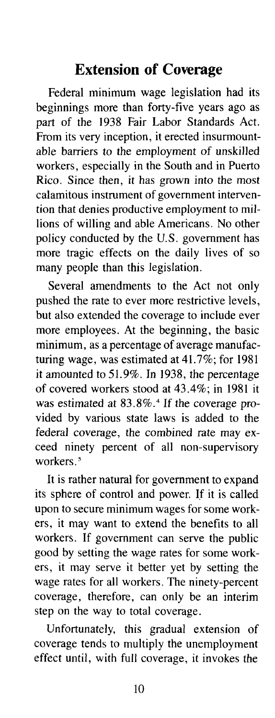### **Extension of Coverage**

Federal minimum wage legislation had its beginnings more than forty-five years ago as part of the 1938 Fair Labor Standards Act. From its very inception, it erected insurmountable barriers to the employment of unskilled workers, especially in the South and in Puerto Rico. Since then, it has grown into the most calamitous instrument of government intervention that denies productive employment to millions of willing and able Americans. No other policy conducted by the U.S. government has more tragic effects on the daily lives of so many people than this legislation.

Several amendments to the Act not only pushed the rate to ever more restrictive levels, but also extended the coverage to include ever more employees. At the beginning, the basic minimum, as a percentage of average manufacturing wage, was estimated at 41.7%; for 1981 it amounted to 51.9%. In 1938, the percentage of covered workers stood at 43.4%; in 1981 it was estimated at 83.8%.<sup>4</sup> If the coverage provided by various state laws is added to the federal coverage, the combined rate may exceed ninety percent of all non-supervisory workers.<sup>5</sup>

It is rather natural for government to expand its sphere of control and power. If it is called upon to secure minimum wages for some workers, it may want to extend the benefits to all workers. If government can serve the public good by setting the wage rates for some workers, it may serve it better yet by setting the wage rates for all workers. The ninety-percent coverage, therefore, can only be an interim step on the way to total coverage.

Unfortunately, this gradual extension of coverage tends to multiply the unemployment effect until, with full coverage, it invokes the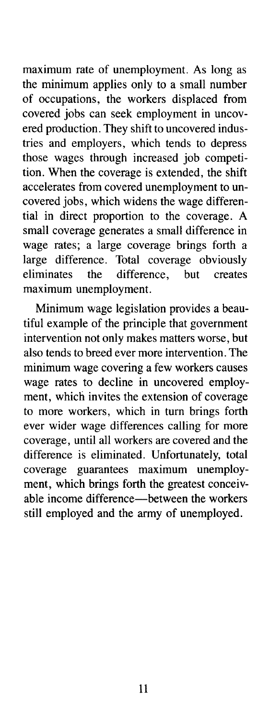maximum rate of unemployment. As long as the minimum applies only to a small number of occupations, the workers displaced from covered jobs can seek employment in uncovered production. They shift to uncovered industries and employers, which tends to depress those wages through increased job competition. When the coverage is extended, the shift accelerates from covered unemployment to uncovered jobs, which widens the wage differential in direct proportion to the coverage. A small coverage generates a small difference in wage rates; a large coverage brings forth a large difference. Total coverage obviously eliminates the difference, but creates maximum unemployment.

Minimum wage legislation provides a beautiful example of the principle that government intervention not only makes matters worse, but also tends to breed ever more intervention. The minimum wage covering a few workers causes wage rates to decline in uncovered employment, which invites the extension of coverage to more workers, which in turn brings forth ever wider wage differences calling for more coverage, until all workers are covered and the difference is eliminated. Unfortunately, total coverage guarantees maximum unemployment, which brings forth the greatest conceivable income difference—between the workers still employed and the army of unemployed.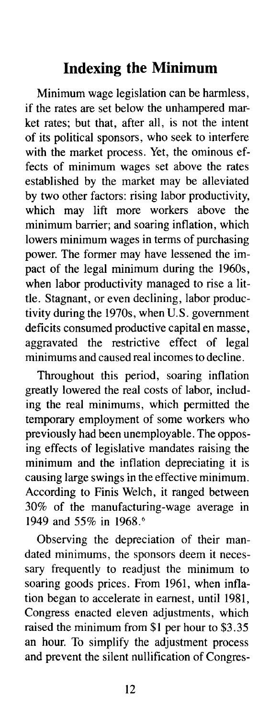# **Indexing the Minimum**

Minimum wage legislation can be harmless, if the rates are set below the unhampered market rates; but that, after all, is not the intent of its political sponsors, who seek to interfere with the market process. Yet, the ominous effects of minimum wages set above the rates established by the market may be alleviated by two other factors: rising labor productivity, which may lift more workers above the minimum barrier; and soaring inflation, which lowers minimum wages in terms of purchasing power. The former may have lessened the impact of the legal minimum during the 1960s, when labor productivity managed to rise a little. Stagnant, or even declining, labor productivity during the 1970s, when U.S. government deficits consumed productive capital en masse, aggravated the restrictive effect of legal minimums and caused real incomes to decline.

Throughout this period, soaring inflation greatly lowered the real costs of labor, including the real minimums, which permitted the temporary employment of some workers who previously had been unemployable. The opposing effects of legislative mandates raising the minimum and the inflation depreciating it is causing large swings in the effective minimum. According to Finis Welch, it ranged between 30% of the manufacturing-wage average in 1949 and 55% in 1968. <sup>6</sup>

Observing the depreciation of their mandated minimums, the sponsors deem it necessary frequently to readjust the minimum to soaring goods prices. From 1961, when inflation began to accelerate in earnest, until 1981, Congress enacted eleven adjustments, which raised the minimum from \$1 per hour to \$3.35 an hour. To simplify the adjustment process and prevent the silent nullification of Congres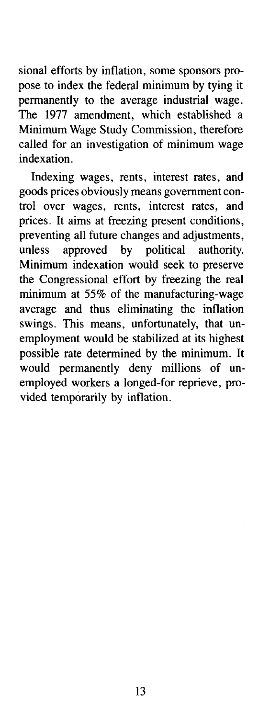sional efforts by inflation, some sponsors propose to index the federal minimum by tying it permanently to the average industrial wage. The 1977 amendment, which established a Minimum Wage Study Commission, therefore called for an investigation of minimum wage indexation.

Indexing wages, rents, interest rates, and goods prices obviously means government control over wages, rents, interest rates, and prices. It aims at freezing present conditions, preventing all future changes and adjustments, unless approved by political authority. Minimum indexation would seek to preserve the Congressional effort by freezing the real minimum at 55% of the manufacturing-wage average and thus eliminating the inflation swings. This means, unfortunately, that unemployment would be stabilized at its highest possible rate determined by the minimum. It would permanently deny millions of unemployed workers a longed-for reprieve, provided temporarily by inflation.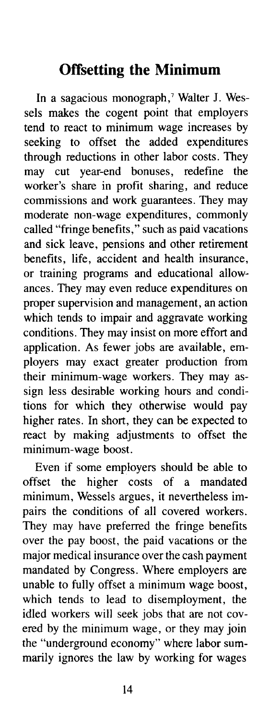# **Offsetting the Minimum**

In a sagacious monograph,<sup>7</sup> Walter J. Wessels makes the cogent point that employers tend to react to minimum wage increases by seeking to offset the added expenditures through reductions in other labor costs. They may cut year-end bonuses, redefine the worker's share in profit sharing, and reduce commissions and work guarantees. They may moderate non-wage expenditures, commonly called "fringe benefits," such as paid vacations and sick leave, pensions and other retirement benefits, life, accident and health insurance, or training programs and educational allowances. They may even reduce expenditures on proper supervision and management, an action which tends to impair and aggravate working conditions. They may insist on more effort and application. As fewer jobs are available, employers may exact greater production from their minimum-wage workers. They may assign less desirable working hours and conditions for which they otherwise would pay higher rates. In short, they can be expected to react by making adjustments to offset the minimum-wage boost.

Even if some employers should be able to offset the higher costs of a mandated minimum, Wessels argues, it nevertheless impairs the conditions of all covered workers. They may have preferred the fringe benefits over the pay boost, the paid vacations or the major medical insurance over the cash payment mandated by Congress. Where employers are unable to fully offset a minimum wage boost, which tends to lead to disemployment, the idled workers will seek jobs that are not covered by the minimum wage, or they may join the "underground economy" where labor summarily ignores the law by working for wages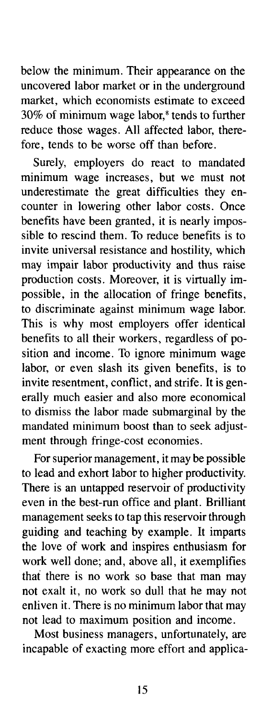below the minimum. Their appearance on the uncovered labor market or in the underground market, which economists estimate to exceed  $30\%$  of minimum wage labor, $8$  tends to further reduce those wages. All affected labor, therefore, tends to be worse off than before.

Surely, employers do react to mandated minimum wage increases, but we must not underestimate the great difficulties they encounter in lowering other labor costs. Once benefits have been granted, it is nearly impossible to rescind them. To reduce benefits is to invite universal resistance and hostility, which may impair labor productivity and thus raise production costs. Moreover, it is virtually impossible, in the allocation of fringe benefits, to discriminate against minimum wage labor. This is why most employers offer identical benefits to all their workers, regardless of position and income. To ignore minimum wage labor, or even slash its given benefits, is to invite resentment, conflict, and strife. It is generally much easier and also more economical to dismiss the labor made submarginal by the mandated minimum boost than to seek adjustment through fringe-cost economies.

For superior management, it may be possible to lead and exhort labor to higher productivity. There is an untapped reservoir of productivity even in the best-run office and plant. Brilliant management seeks to tap this reservoir through guiding and teaching by example. It imparts the love of work and inspires enthusiasm for work well done; and, above all, it exemplifies that there is no work so base that man may not exalt it, no work so dull that he may not enliven it. There is no minimum labor that may not lead to maximum position and income.

Most business managers, unfortunately, are incapable of exacting more effort and applica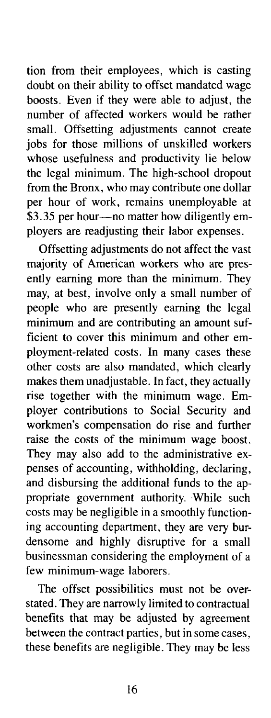tion from their employees, which is casting doubt on their ability to offset mandated wage boosts. Even if they were able to adjust, the number of affected workers would be rather small. Offsetting adjustments cannot create jobs for those millions of unskilled workers whose usefulness and productivity lie below the legal minimum. The high-school dropout from the Bronx, who may contribute one dollar per hour of work, remains unemployable at \$3.35 per hour—no matter how diligently employers are readjusting their labor expenses.

Offsetting adjustments do not affect the vast majority of American workers who are presently earning more than the minimum. They may, at best, involve only a small number of people who are presently earning the legal minimum and are contributing an amount sufficient to cover this minimum and other employment-related costs. In many cases these other costs are also mandated, which clearly makes them unadjustable. In fact, they actually rise together with the minimum wage. Employer contributions to Social Security and workmen's compensation do rise and further raise the costs of the minimum wage boost. They may also add to the administrative expenses of accounting, withholding, declaring, and disbursing the additional funds to the appropriate government authority. While such costs may be negligible in a smoothly functioning accounting department, they are very burdensome and highly disruptive for a small businessman considering the employment of a few minimum-wage laborers.

The offset possibilities must not be overstated. They are narrowly limited to contractual benefits that may be adjusted by agreement between the contract parties, but in some cases, these benefits are negligible. They may be less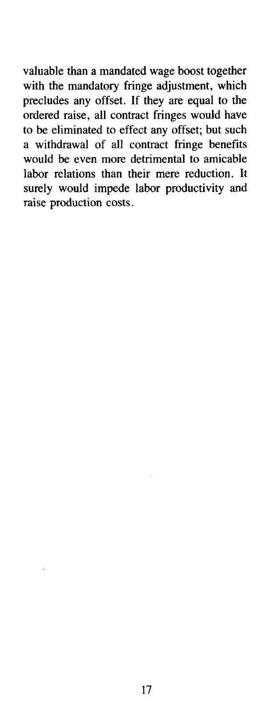valuable than a mandated wage boost together with the mandatory fringe adjustment, which precludes any offset. If they are equal to the ordered raise, all contract fringes would have to be eliminated to effect any offset; but such a withdrawal of all contract fringe benefits would be even more detrimental to amicable labor relations than their mere reduction. It surely would impede labor productivity and raise production costs.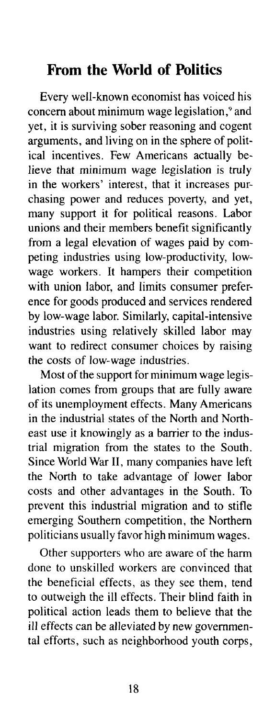# **From the World of Politics**

Every well-known economist has voiced his concern about minimum wage legislation,<sup>9</sup> and yet, it is surviving sober reasoning and cogent arguments, and living on in the sphere of political incentives. Few Americans actually believe that minimum wage legislation is truly in the workers' interest, that it increases purchasing power and reduces poverty, and yet, many support it for political reasons. Labor unions and their members benefit significantly from a legal elevation of wages paid by competing industries using low-productivity, lowwage workers. It hampers their competition with union labor, and limits consumer preference for goods produced and services rendered by low-wage labor. Similarly, capital-intensive industries using relatively skilled labor may want to redirect consumer choices by raising the costs of low-wage industries.

Most of the support for minimum wage legislation comes from groups that are fully aware of its unemployment effects. Many Americans in the industrial states of the North and Northeast use it knowingly as a barrier to the industrial migration from the states to the South. Since World War II, many companies have left the North to take advantage of lower labor costs and other advantages in the South. To prevent this industrial migration and to stifle emerging Southern competition, the Northern politicians usually favor high minimum wages.

Other supporters who are aware of the harm done to unskilled workers are convinced that the beneficial effects, as they see them, tend to outweigh the ill effects. Their blind faith in political action leads them to believe that the ill effects can be alleviated by new governmental efforts, such as neighborhood youth corps,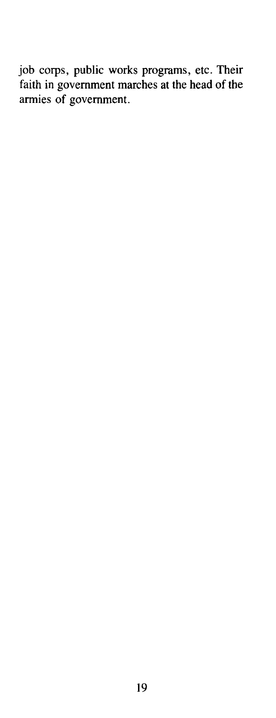job corps, public works programs, etc. Their faith in government marches at the head of the armies of government.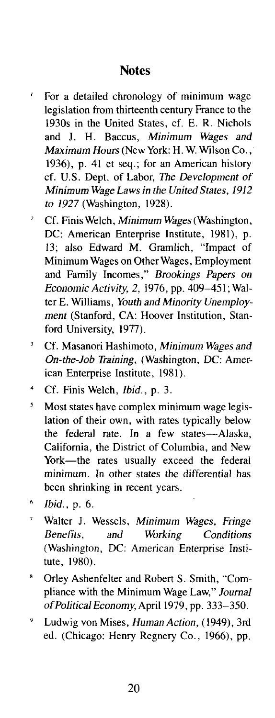#### **Notes**

- For a detailed chronology of minimum wage legislation from thirteenth century France to the 1930s in the United States, cf. E. R. Nichols and J. H. Baccus, *Minimum Wages and Maximum Hours* (New York: H. W. Wilson Co., 1936), p. 41 et seq.; for an American history cf. U.S. Dept. of Labor, The *Development of Minimum Wage Laws in the United States, 1912 to 1927* (Washington, 1928).
- 2 Cf. Finis Welch, *Minimum Wages* (Washington, DC: American Enterprise Institute, 1981), p. 13; also Edward M. Gramlich, "Impact of Minimum Wages on Other Wages, Employment and Family Incomes," *Brookings Papers on Economic Activity, 2,* 1976, pp. 409-451; Walter E. Williams, *Youth and Minority Unemployment* (Stanford, CA: Hoover Institution, Stanford University, 1977).
- 3 Cf. Masanori Hashimoto, *Minimum Wages and On-the-Job Training,* (Washington, DC: American Enterprise Institute, 1981).
- Cf. Finis Welch, *Ibid.,* p. 3.
- <sup>5</sup> Most states have complex minimum wage legislation of their own, with rates typically below the federal rate. In a few states-Alaska, California, the District of Columbia, and New York-the rates usually exceed the federal minimum. In other states the differential has been shrinking in recent years.

- 7 Walter J. Wessels, *Minimum Wages, Fringe Benefits, and Working Conditions*  (Washington, DC: American Enterprise Institute, 1980).
- <sup>8</sup> Orley Ashenfelter and Robert S. Smith, "Compliance with the Minimum Wage Law," *Journal of Political Economy, April 1979, pp. 333-350.*
- 9 Ludwig von Mises, *Human Action,* ( 1949), 3rd ed. (Chicago: Henry Regnery Co., 1966), pp.

<sup>6</sup>*Ibid.,* p. 6.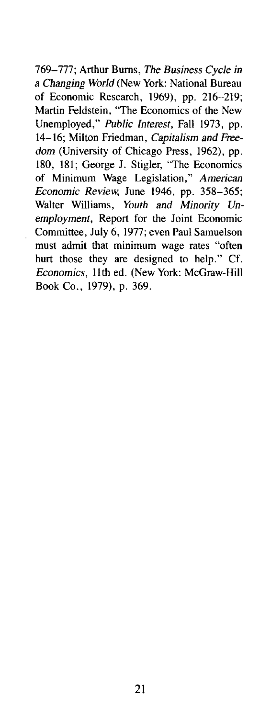769-777; Arthur Bums, *The Business Cycle in a Changing World* (New York: National Bureau of Economic Research, 1969), pp. 216-219; Martin Feldstein, "The Economics of the New Unemployed," *Public Interest,* Fall 1973, pp. 14-16; Milton Friedman, *Capitalism and Freedom* (University of Chicago Press, 1962), pp. 180, 181; George J. Stigler, "The Economics of Minimum Wage Legislation," *American Economic Review,* June 1946, pp. 358-365; Walter Williams, *Youth and Minority Unemployment,* Report for the Joint Economic Committee, July 6, 1977; even Paul Samuelson must admit that minimum wage rates "often hurt those they are designed to help." Cf. *Economics,* II th ed. (New York: McGraw-Hill Book Co., 1979), p. 369.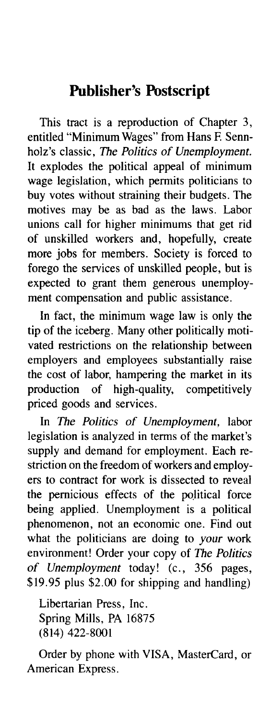# **Publisher's Postscript**

This tract is a reproduction of Chapter 3, entitled "Minimum Wages" from Hans F. Sennholz's classic, *The Politics of Unemployment.*  It explodes the political appeal of minimum wage legislation, which permits politicians to buy votes without straining their budgets. The motives may be as bad as the laws. Labor unions call for higher minimums that get rid of unskilled workers and, hopefully, create more jobs for members. Society is forced to forego the services of unskilled people, but is expected to grant them generous unemployment compensation and public assistance.

In fact, the minimum wage law is only the tip of the iceberg. Many other politically motivated restrictions on the relationship between employers and employees substantially raise the cost of labor, hampering the market in its production of high-quality, competitively priced goods and services.

In *The Politics of Unemployment,* labor legislation is analyzed in terms of the market's supply and demand for employment. Each restriction on the freedom of workers and employers to contract for work is dissected to reveal the pernicious effects of the political force being applied. Unemployment is a political phenomenon, not an economic one. Find out what the politicians are doing to *your* work environment! Order your copy of *The Politics of Unemployment* today! (c., 356 pages, \$19.95 plus \$2.00 for shipping and handling)

Libertarian Press, Inc. Spring Mills, PA 16875 (814) 422-8001

Order by phone with VISA, MasterCard, or American Express.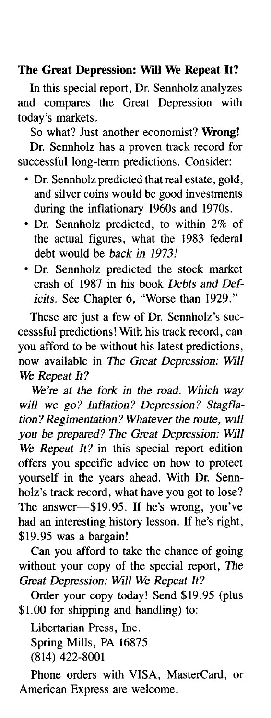#### **The Great Depression: Will We Repeat** It?

In this special report, Dr. Sennholz analyzes and compares the Great Depression with today's markets.

So what? Just another economist? **Wrong!**  Dr. Sennholz has a proven track record for successful long-term predictions. Consider:

- Dr. Sennholz predicted that real estate, gold, and silver coins would be good investments during the inflationary 1960s and 1970s.
- Dr. Sennholz predicted, to within 2% of the actual figures, what the 1983 federal debt would be *back in 1973!*
- Dr. Sennholz predicted the stock market crash of 1987 in his book *Debts and Deficits.* See Chapter 6, "Worse than 1929."

These are just a few of Dr. Sennholz's successsful predictions! With his track record, can you afford to be without his latest predictions, now available in *The Great Depression: Will We Repeat It?* 

*We're at the fork in the road. Which way will we go? Inflation? Depression? Stagflation? Regimentation? Whatever the route, will you be prepared? The Great Depression: Will We Repeat It?* in this special report edition offers you specific advice on how to protect yourself in the years ahead. With Dr. Sennholz's track record, what have you got to lose? The answer-\$19.95. If he's wrong, you've had an interesting history lesson. If he's right, \$19.95 was a bargain!

Can you afford to take the chance of going without your copy of the special report, *The Great Depression: Will We Repeat It?* 

Order your copy today! Send \$19.95 (plus \$1.00 for shipping and handling) to:

Libertarian Press, Inc.

Spring Mills, PA 16875

(814) 422-8001

Phone orders with VISA, MasterCard, or American Express are welcome.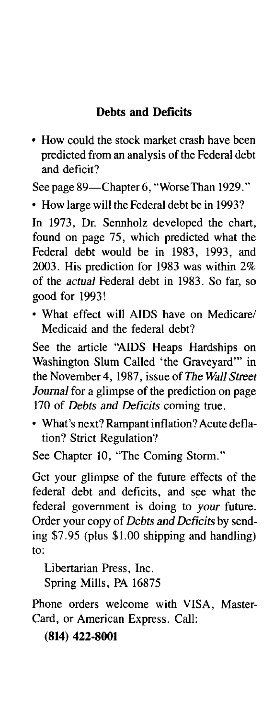#### **Debts and Deficits**

• How could the stock market crash have been predicted from an analysis of the Federal debt and deficit?

See page 89—Chapter 6, "Worse Than 1929."

• How large will the Federal debt be in 1993?

In 1973, Dr. Sennholz developed the chart, found on page 75, which predicted what the Federal debt would be in 1983, 1993, and 2003. His prediction for 1983 was within 2% of the *actual* Federal debt in 1983. So far, so good for 1993!

• What effect will AIDS have on Medicare/ Medicaid and the federal debt?

See the article ''AIDS Heaps Hardships on Washington Slum Called 'the Graveyard'" in the November4, 1987, issue of *The Wall Street Joumal* for a glimpse of the prediction on page 170 of *Debts and Deficits* coming true.

• What's next? Rampant inflation? Acute deflation? Strict Regulation?

See Chapter 10, "The Coming Storm."

Get your glimpse of the future effects of the federal debt and deficits, and see what the federal government is doing to *your* future. Order your copy of *Debts and Deficits* by sending \$7.95 (plus \$1.00 shipping and handling) to:

Libertarian Press, Inc. Spring Mills, PA 16875

Phone orders welcome with VISA, Master-Card, or American Express. Call:

**(814) 422-8001**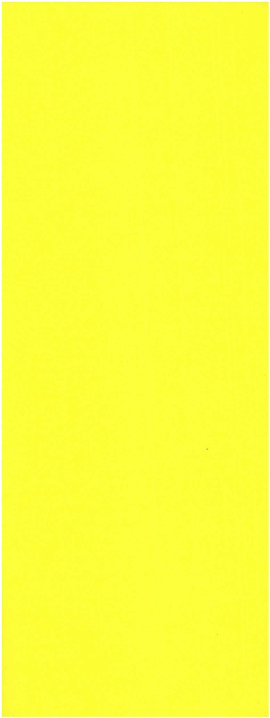